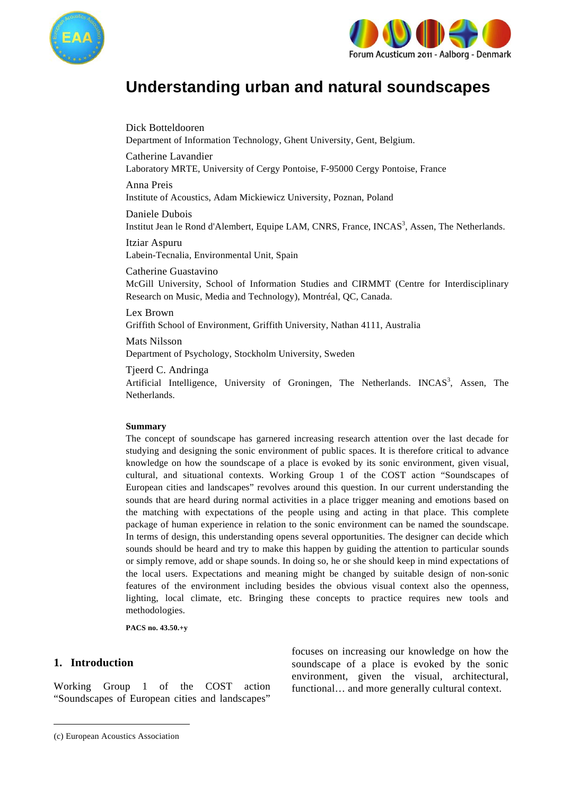



# **Understanding urban and natural soundscapes**

Dick Botteldooren Department of Information Technology, Ghent University, Gent, Belgium.

Catherine Lavandier Laboratory MRTE, University of Cergy Pontoise, F-95000 Cergy Pontoise, France

Anna Preis Institute of Acoustics, Adam Mickiewicz University, Poznan, Poland

Daniele Dubois Institut Jean le Rond d'Alembert, Equipe LAM, CNRS, France, INCAS<sup>3</sup>, Assen, The Netherlands.

Itziar Aspuru Labein-Tecnalia, Environmental Unit, Spain

Catherine Guastavino McGill University, School of Information Studies and CIRMMT (Centre for Interdisciplinary Research on Music, Media and Technology), Montréal, QC, Canada.

Lex Brown Griffith School of Environment, Griffith University, Nathan 4111, Australia

Mats Nilsson Department of Psychology, Stockholm University, Sweden

Tjeerd C. Andringa

Artificial Intelligence, University of Groningen, The Netherlands. INCAS<sup>3</sup>, Assen, The Netherlands.

## **Summary**

The concept of soundscape has garnered increasing research attention over the last decade for studying and designing the sonic environment of public spaces. It is therefore critical to advance knowledge on how the soundscape of a place is evoked by its sonic environment, given visual, cultural, and situational contexts. Working Group 1 of the COST action "Soundscapes of European cities and landscapes" revolves around this question. In our current understanding the sounds that are heard during normal activities in a place trigger meaning and emotions based on the matching with expectations of the people using and acting in that place. This complete package of human experience in relation to the sonic environment can be named the soundscape. In terms of design, this understanding opens several opportunities. The designer can decide which sounds should be heard and try to make this happen by guiding the attention to particular sounds or simply remove, add or shape sounds. In doing so, he or she should keep in mind expectations of the local users. Expectations and meaning might be changed by suitable design of non-sonic features of the environment including besides the obvious visual context also the openness, lighting, local climate, etc. Bringing these concepts to practice requires new tools and methodologies.

**PACS no. 43.50.+y** 

## **1. Introduction<sup>1</sup>**

Working Group 1 of the COST action "Soundscapes of European cities and landscapes"

focuses on increasing our knowledge on how the soundscape of a place is evoked by the sonic environment, given the visual, architectural, functional… and more generally cultural context.

<sup>1</sup> (c) European Acoustics Association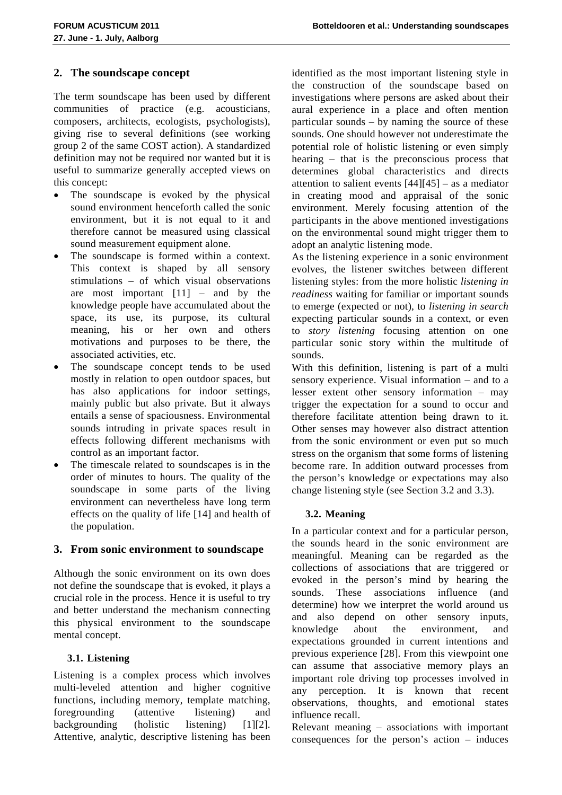# **2. The soundscape concept**

The term soundscape has been used by different communities of practice (e.g. acousticians, composers, architects, ecologists, psychologists), giving rise to several definitions (see working group 2 of the same COST action). A standardized definition may not be required nor wanted but it is useful to summarize generally accepted views on this concept:

- The soundscape is evoked by the physical sound environment henceforth called the sonic environment, but it is not equal to it and therefore cannot be measured using classical sound measurement equipment alone.
- The soundscape is formed within a context. This context is shaped by all sensory stimulations – of which visual observations are most important  $[11]$  – and by the knowledge people have accumulated about the space, its use, its purpose, its cultural meaning, his or her own and others motivations and purposes to be there, the associated activities, etc.
- The soundscape concept tends to be used mostly in relation to open outdoor spaces, but has also applications for indoor settings, mainly public but also private. But it always entails a sense of spaciousness. Environmental sounds intruding in private spaces result in effects following different mechanisms with control as an important factor.
- The timescale related to soundscapes is in the order of minutes to hours. The quality of the soundscape in some parts of the living environment can nevertheless have long term effects on the quality of life [14] and health of the population.

# **3. From sonic environment to soundscape**

Although the sonic environment on its own does not define the soundscape that is evoked, it plays a crucial role in the process. Hence it is useful to try and better understand the mechanism connecting this physical environment to the soundscape mental concept.

# **3.1. Listening**

Listening is a complex process which involves multi-leveled attention and higher cognitive functions, including memory, template matching, foregrounding (attentive listening) and backgrounding (holistic listening)  $[1][2]$ . Attentive, analytic, descriptive listening has been identified as the most important listening style in the construction of the soundscape based on investigations where persons are asked about their aural experience in a place and often mention particular sounds – by naming the source of these sounds. One should however not underestimate the potential role of holistic listening or even simply hearing – that is the preconscious process that determines global characteristics and directs attention to salient events  $[44][45]$  – as a mediator in creating mood and appraisal of the sonic environment. Merely focusing attention of the participants in the above mentioned investigations on the environmental sound might trigger them to adopt an analytic listening mode.

As the listening experience in a sonic environment evolves, the listener switches between different listening styles: from the more holistic *listening in readiness* waiting for familiar or important sounds to emerge (expected or not), to *listening in search* expecting particular sounds in a context, or even to *story listening* focusing attention on one particular sonic story within the multitude of sounds.

With this definition, listening is part of a multi sensory experience. Visual information – and to a lesser extent other sensory information – may trigger the expectation for a sound to occur and therefore facilitate attention being drawn to it. Other senses may however also distract attention from the sonic environment or even put so much stress on the organism that some forms of listening become rare. In addition outward processes from the person's knowledge or expectations may also change listening style (see Section 3.2 and 3.3).

## **3.2. Meaning**

In a particular context and for a particular person, the sounds heard in the sonic environment are meaningful. Meaning can be regarded as the collections of associations that are triggered or evoked in the person's mind by hearing the sounds. These associations influence (and determine) how we interpret the world around us and also depend on other sensory inputs, knowledge about the environment, and expectations grounded in current intentions and previous experience [28]. From this viewpoint one can assume that associative memory plays an important role driving top processes involved in any perception. It is known that recent observations, thoughts, and emotional states influence recall.

Relevant meaning – associations with important consequences for the person's action – induces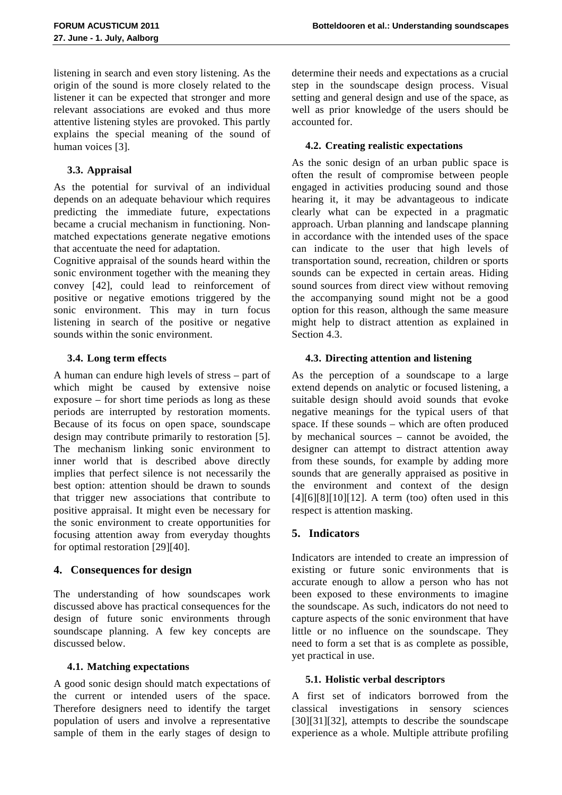listening in search and even story listening. As the origin of the sound is more closely related to the listener it can be expected that stronger and more relevant associations are evoked and thus more attentive listening styles are provoked. This partly explains the special meaning of the sound of human voices [3].

## **3.3. Appraisal**

As the potential for survival of an individual depends on an adequate behaviour which requires predicting the immediate future, expectations became a crucial mechanism in functioning. Nonmatched expectations generate negative emotions that accentuate the need for adaptation.

Cognitive appraisal of the sounds heard within the sonic environment together with the meaning they convey [42], could lead to reinforcement of positive or negative emotions triggered by the sonic environment. This may in turn focus listening in search of the positive or negative sounds within the sonic environment.

## **3.4. Long term effects**

A human can endure high levels of stress – part of which might be caused by extensive noise exposure – for short time periods as long as these periods are interrupted by restoration moments. Because of its focus on open space, soundscape design may contribute primarily to restoration [5]. The mechanism linking sonic environment to inner world that is described above directly implies that perfect silence is not necessarily the best option: attention should be drawn to sounds that trigger new associations that contribute to positive appraisal. It might even be necessary for the sonic environment to create opportunities for focusing attention away from everyday thoughts for optimal restoration [29][40].

## **4. Consequences for design**

The understanding of how soundscapes work discussed above has practical consequences for the design of future sonic environments through soundscape planning. A few key concepts are discussed below.

## **4.1. Matching expectations**

A good sonic design should match expectations of the current or intended users of the space. Therefore designers need to identify the target population of users and involve a representative sample of them in the early stages of design to determine their needs and expectations as a crucial step in the soundscape design process. Visual setting and general design and use of the space, as well as prior knowledge of the users should be accounted for.

#### **4.2. Creating realistic expectations**

As the sonic design of an urban public space is often the result of compromise between people engaged in activities producing sound and those hearing it, it may be advantageous to indicate clearly what can be expected in a pragmatic approach. Urban planning and landscape planning in accordance with the intended uses of the space can indicate to the user that high levels of transportation sound, recreation, children or sports sounds can be expected in certain areas. Hiding sound sources from direct view without removing the accompanying sound might not be a good option for this reason, although the same measure might help to distract attention as explained in Section 4.3.

#### **4.3. Directing attention and listening**

As the perception of a soundscape to a large extend depends on analytic or focused listening, a suitable design should avoid sounds that evoke negative meanings for the typical users of that space. If these sounds – which are often produced by mechanical sources – cannot be avoided, the designer can attempt to distract attention away from these sounds, for example by adding more sounds that are generally appraised as positive in the environment and context of the design  $[4][6][8][10][12]$ . A term (too) often used in this respect is attention masking.

## **5. Indicators**

Indicators are intended to create an impression of existing or future sonic environments that is accurate enough to allow a person who has not been exposed to these environments to imagine the soundscape. As such, indicators do not need to capture aspects of the sonic environment that have little or no influence on the soundscape. They need to form a set that is as complete as possible, yet practical in use.

#### **5.1. Holistic verbal descriptors**

A first set of indicators borrowed from the classical investigations in sensory sciences [30][31][32], attempts to describe the soundscape experience as a whole. Multiple attribute profiling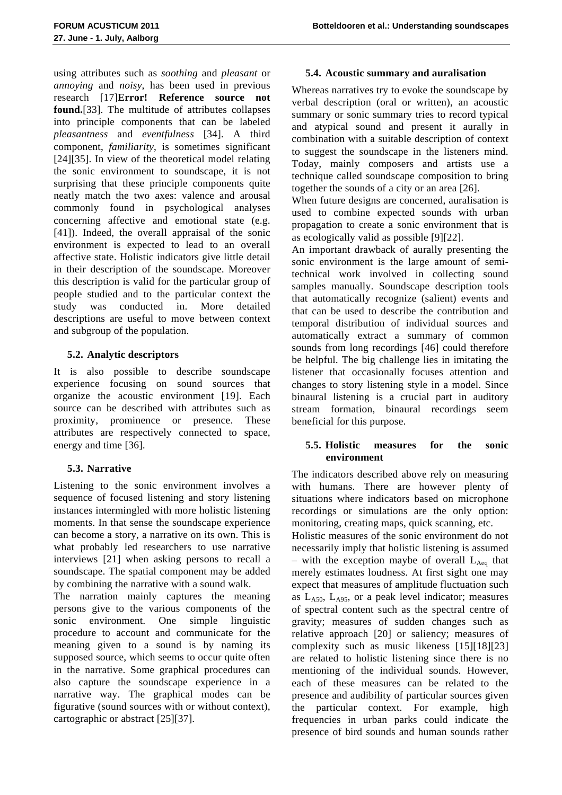using attributes such as *soothing* and *pleasant* or *annoying* and *noisy*, has been used in previous research [17]**Error! Reference source not found.**[33]. The multitude of attributes collapses into principle components that can be labeled *pleasantness* and *eventfulness* [34]. A third component, *familiarity*, is sometimes significant [24][35]. In view of the theoretical model relating the sonic environment to soundscape, it is not surprising that these principle components quite neatly match the two axes: valence and arousal commonly found in psychological analyses concerning affective and emotional state (e.g. [41]). Indeed, the overall appraisal of the sonic environment is expected to lead to an overall affective state. Holistic indicators give little detail in their description of the soundscape. Moreover this description is valid for the particular group of people studied and to the particular context the study was conducted in. More detailed descriptions are useful to move between context and subgroup of the population.

# **5.2. Analytic descriptors**

It is also possible to describe soundscape experience focusing on sound sources that organize the acoustic environment [19]. Each source can be described with attributes such as proximity, prominence or presence. These attributes are respectively connected to space, energy and time [36].

# **5.3. Narrative**

Listening to the sonic environment involves a sequence of focused listening and story listening instances intermingled with more holistic listening moments. In that sense the soundscape experience can become a story, a narrative on its own. This is what probably led researchers to use narrative interviews [21] when asking persons to recall a soundscape. The spatial component may be added by combining the narrative with a sound walk.

The narration mainly captures the meaning persons give to the various components of the sonic environment. One simple linguistic procedure to account and communicate for the meaning given to a sound is by naming its supposed source, which seems to occur quite often in the narrative. Some graphical procedures can also capture the soundscape experience in a narrative way. The graphical modes can be figurative (sound sources with or without context), cartographic or abstract [25][37].

# **5.4. Acoustic summary and auralisation**

Whereas narratives try to evoke the soundscape by verbal description (oral or written), an acoustic summary or sonic summary tries to record typical and atypical sound and present it aurally in combination with a suitable description of context to suggest the soundscape in the listeners mind. Today, mainly composers and artists use a technique called soundscape composition to bring together the sounds of a city or an area [26].

When future designs are concerned, auralisation is used to combine expected sounds with urban propagation to create a sonic environment that is as ecologically valid as possible [9][22].

An important drawback of aurally presenting the sonic environment is the large amount of semitechnical work involved in collecting sound samples manually. Soundscape description tools that automatically recognize (salient) events and that can be used to describe the contribution and temporal distribution of individual sources and automatically extract a summary of common sounds from long recordings [46] could therefore be helpful. The big challenge lies in imitating the listener that occasionally focuses attention and changes to story listening style in a model. Since binaural listening is a crucial part in auditory stream formation, binaural recordings seem beneficial for this purpose.

## **5.5. Holistic measures for the sonic environment**

The indicators described above rely on measuring with humans. There are however plenty of situations where indicators based on microphone recordings or simulations are the only option: monitoring, creating maps, quick scanning, etc.

Holistic measures of the sonic environment do not necessarily imply that holistic listening is assumed  $-$  with the exception maybe of overall  $L_{Aea}$  that merely estimates loudness. At first sight one may expect that measures of amplitude fluctuation such as  $L_{A50}$ ,  $L_{A95}$ , or a peak level indicator; measures of spectral content such as the spectral centre of gravity; measures of sudden changes such as relative approach [20] or saliency; measures of complexity such as music likeness [15][18][23] are related to holistic listening since there is no mentioning of the individual sounds. However, each of these measures can be related to the presence and audibility of particular sources given the particular context. For example, high frequencies in urban parks could indicate the presence of bird sounds and human sounds rather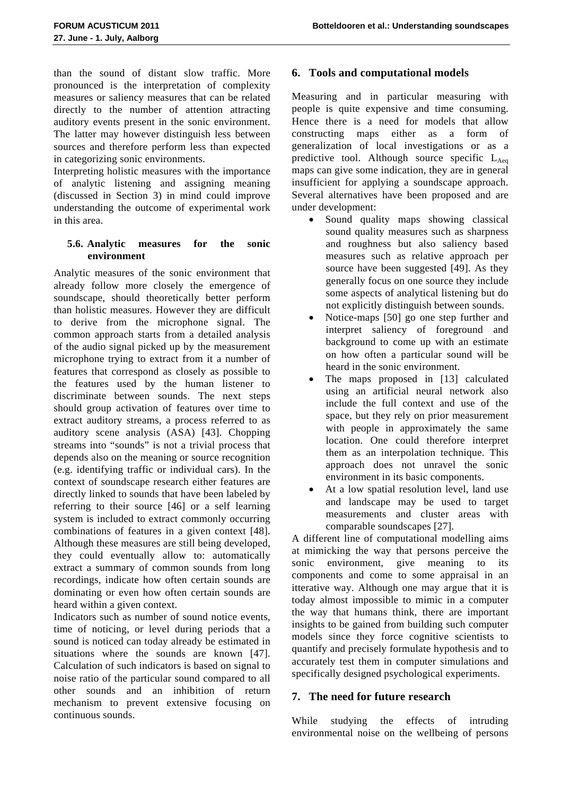than the sound of distant slow traffic. More pronounced is the interpretation of complexity measures or saliency measures that can be related directly to the number of attention attracting auditory events present in the sonic environment. The latter may however distinguish less between sources and therefore perform less than expected in categorizing sonic environments.

Interpreting holistic measures with the importance of analytic listening and assigning meaning (discussed in Section 3) in mind could improve understanding the outcome of experimental work in this area.

#### **5.6. Analytic measures for the sonic environment**

Analytic measures of the sonic environment that already follow more closely the emergence of soundscape, should theoretically better perform than holistic measures. However they are difficult to derive from the microphone signal. The common approach starts from a detailed analysis of the audio signal picked up by the measurement microphone trying to extract from it a number of features that correspond as closely as possible to the features used by the human listener to discriminate between sounds. The next steps should group activation of features over time to extract auditory streams, a process referred to as auditory scene analysis (ASA) [43]. Chopping streams into "sounds" is not a trivial process that depends also on the meaning or source recognition (e.g. identifying traffic or individual cars). In the context of soundscape research either features are directly linked to sounds that have been labeled by referring to their source [46] or a self learning system is included to extract commonly occurring combinations of features in a given context [48]. Although these measures are still being developed, they could eventually allow to: automatically extract a summary of common sounds from long recordings, indicate how often certain sounds are dominating or even how often certain sounds are heard within a given context.

Indicators such as number of sound notice events, time of noticing, or level during periods that a sound is noticed can today already be estimated in situations where the sounds are known [47]. Calculation of such indicators is based on signal to noise ratio of the particular sound compared to all other sounds and an inhibition of return mechanism to prevent extensive focusing on continuous sounds.

## **6. Tools and computational models**

Measuring and in particular measuring with people is quite expensive and time consuming. Hence there is a need for models that allow constructing maps either as a form of generalization of local investigations or as a predictive tool. Although source specific  $L_{Aea}$ maps can give some indication, they are in general insufficient for applying a soundscape approach. Several alternatives have been proposed and are under development:

- Sound quality maps showing classical sound quality measures such as sharpness and roughness but also saliency based measures such as relative approach per source have been suggested [49]. As they generally focus on one source they include some aspects of analytical listening but do not explicitly distinguish between sounds.
- Notice-maps [50] go one step further and interpret saliency of foreground and background to come up with an estimate on how often a particular sound will be heard in the sonic environment.
- The maps proposed in [13] calculated using an artificial neural network also include the full context and use of the space, but they rely on prior measurement with people in approximately the same location. One could therefore interpret them as an interpolation technique. This approach does not unravel the sonic environment in its basic components.
- At a low spatial resolution level, land use and landscape may be used to target measurements and cluster areas with comparable soundscapes [27].

A different line of computational modelling aims at mimicking the way that persons perceive the sonic environment, give meaning to its components and come to some appraisal in an itterative way. Although one may argue that it is today almost impossible to mimic in a computer the way that humans think, there are important insights to be gained from building such computer models since they force cognitive scientists to quantify and precisely formulate hypothesis and to accurately test them in computer simulations and specifically designed psychological experiments.

## **7. The need for future research**

While studying the effects of intruding environmental noise on the wellbeing of persons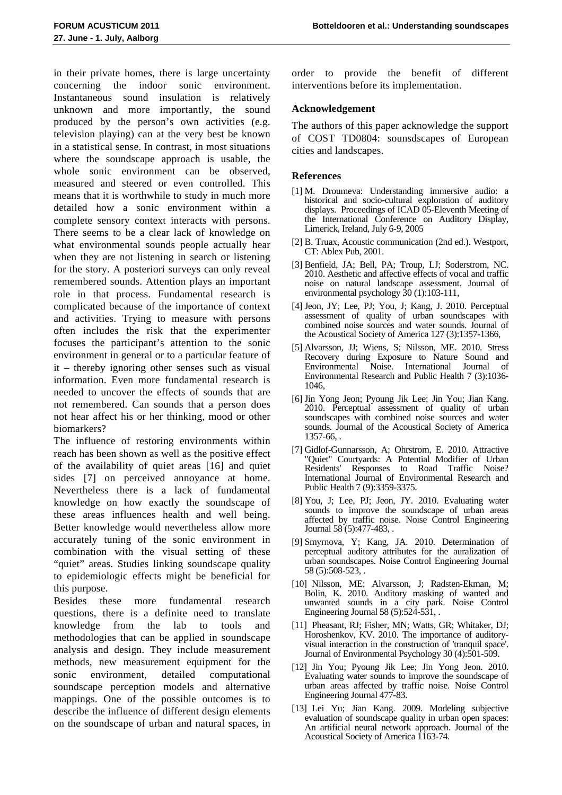in their private homes, there is large uncertainty concerning the indoor sonic environment. Instantaneous sound insulation is relatively unknown and more importantly, the sound produced by the person's own activities (e.g. television playing) can at the very best be known in a statistical sense. In contrast, in most situations where the soundscape approach is usable, the whole sonic environment can be observed, measured and steered or even controlled. This means that it is worthwhile to study in much more detailed how a sonic environment within a complete sensory context interacts with persons. There seems to be a clear lack of knowledge on what environmental sounds people actually hear when they are not listening in search or listening for the story. A posteriori surveys can only reveal remembered sounds. Attention plays an important role in that process. Fundamental research is complicated because of the importance of context and activities. Trying to measure with persons often includes the risk that the experimenter focuses the participant's attention to the sonic environment in general or to a particular feature of it – thereby ignoring other senses such as visual information. Even more fundamental research is needed to uncover the effects of sounds that are not remembered. Can sounds that a person does not hear affect his or her thinking, mood or other biomarkers?

The influence of restoring environments within reach has been shown as well as the positive effect of the availability of quiet areas [16] and quiet sides [7] on perceived annoyance at home. Nevertheless there is a lack of fundamental knowledge on how exactly the soundscape of these areas influences health and well being. Better knowledge would nevertheless allow more accurately tuning of the sonic environment in combination with the visual setting of these "quiet" areas. Studies linking soundscape quality to epidemiologic effects might be beneficial for this purpose.

Besides these more fundamental research questions, there is a definite need to translate knowledge from the lab to tools and methodologies that can be applied in soundscape analysis and design. They include measurement methods, new measurement equipment for the sonic environment, detailed computational soundscape perception models and alternative mappings. One of the possible outcomes is to describe the influence of different design elements on the soundscape of urban and natural spaces, in

order to provide the benefit of different interventions before its implementation.

#### **Acknowledgement**

The authors of this paper acknowledge the support of COST TD0804: sounsdscapes of European cities and landscapes.

#### **References**

- [1] M. Droumeva: Understanding immersive audio: a historical and socio-cultural exploration of auditory displays. Proceedings of ICAD 05-Eleventh Meeting of the International Conference on Auditory Display, Limerick, Ireland, July 6-9, 2005
- [2] B. Truax, Acoustic communication (2nd ed.). Westport, CT: Ablex Pub, 2001.
- [3] Benfield, JA; Bell, PA; Troup, LJ; Soderstrom, NC. 2010. Aesthetic and affective effects of vocal and traffic noise on natural landscape assessment. Journal of environmental psychology 30 (1):103-111,
- [4] Jeon, JY; Lee, PJ; You, J; Kang, J. 2010. Perceptual assessment of quality of urban soundscapes with combined noise sources and water sounds. Journal of the Acoustical Society of America 127 (3):1357-1366,
- [5] Alvarsson, JJ; Wiens, S; Nilsson, ME. 2010. Stress Recovery during Exposure to Nature Sound and Environmental Noise. International Journal of Environmental Research and Public Health 7 (3):1036- 1046,
- [6] Jin Yong Jeon; Pyoung Jik Lee; Jin You; Jian Kang. 2010. Perceptual assessment of quality of urban soundscapes with combined noise sources and water sounds. Journal of the Acoustical Society of America 1357-66, .
- [7] Gidlof-Gunnarsson, A; Ohrstrom, E. 2010. Attractive 'Quiet" Courtyards: A Potential Modifier of Urban Residents' Responses to Road Traffic Noise? International Journal of Environmental Research and Public Health 7 (9):3359-3375.
- [8] You, J; Lee, PJ; Jeon, JY. 2010. Evaluating water sounds to improve the soundscape of urban areas affected by traffic noise. Noise Control Engineering Journal 58 (5):477-483, .
- [9] Smyrnova, Y; Kang, JA. 2010. Determination of perceptual auditory attributes for the auralization of urban soundscapes. Noise Control Engineering Journal 58 (5):508-523, .
- [10] Nilsson, ME; Alvarsson, J; Radsten-Ekman, M; Bolin, K. 2010. Auditory masking of wanted and unwanted sounds in a city park. Noise Control Engineering Journal 58 (5):524-531, .
- [11] Pheasant, RJ; Fisher, MN; Watts, GR; Whitaker, DJ; Horoshenkov, KV. 2010. The importance of auditoryvisual interaction in the construction of 'tranquil space'. Journal of Environmental Psychology 30 (4):501-509.
- [12] Jin You; Pyoung Jik Lee; Jin Yong Jeon. 2010. Evaluating water sounds to improve the soundscape of urban areas affected by traffic noise. Noise Control Engineering Journal 477-83.
- [13] Lei Yu; Jian Kang. 2009. Modeling subjective evaluation of soundscape quality in urban open spaces: An artificial neural network approach. Journal of the Acoustical Society of America 1163-74.